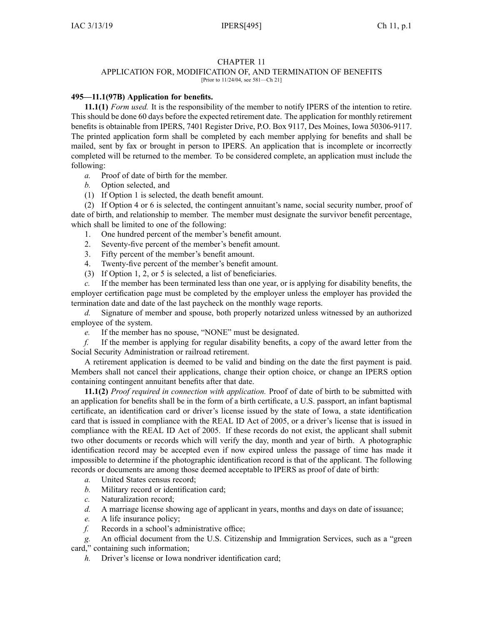## CHAPTER 11

# APPLICATION FOR, MODIFICATION OF, AND TERMINATION OF BENEFITS

[Prior to 11/24/04, see 581—Ch 21]

## **495—11.1(97B) Application for benefits.**

**11.1(1)** *Form used.* It is the responsibility of the member to notify IPERS of the intention to retire. This should be done 60 days before the expected retirement date. The application for monthly retirement benefits is obtainable from IPERS, 7401 Register Drive, P.O. Box 9117, Des Moines, Iowa 50306-9117. The printed application form shall be completed by each member applying for benefits and shall be mailed, sent by fax or brought in person to IPERS. An application that is incomplete or incorrectly completed will be returned to the member. To be considered complete, an application must include the following:

- *a.* Proof of date of birth for the member.
- *b.* Option selected, and
- (1) If Option 1 is selected, the death benefit amount.

(2) If Option 4 or 6 is selected, the contingent annuitant's name, social security number, proof of date of birth, and relationship to member. The member must designate the survivor benefit percentage, which shall be limited to one of the following:

- 1. One hundred percen<sup>t</sup> of the member's benefit amount.
- 2. Seventy-five percen<sup>t</sup> of the member's benefit amount.
- 3. Fifty percen<sup>t</sup> of the member's benefit amount.
- 4. Twenty-five percen<sup>t</sup> of the member's benefit amount.
- (3) If Option 1, 2, or 5 is selected, <sup>a</sup> list of beneficiaries.

*c.* If the member has been terminated less than one year, or is applying for disability benefits, the employer certification page must be completed by the employer unless the employer has provided the termination date and date of the last paycheck on the monthly wage reports.

*d.* Signature of member and spouse, both properly notarized unless witnessed by an authorized employee of the system.

*e.* If the member has no spouse, "NONE" must be designated.

*f.* If the member is applying for regular disability benefits, <sup>a</sup> copy of the award letter from the Social Security Administration or railroad retirement.

A retirement application is deemed to be valid and binding on the date the first paymen<sup>t</sup> is paid. Members shall not cancel their applications, change their option choice, or change an IPERS option containing contingent annuitant benefits after that date.

**11.1(2)** *Proof required in connection with application.* Proof of date of birth to be submitted with an application for benefits shall be in the form of <sup>a</sup> birth certificate, <sup>a</sup> U.S. passport, an infant baptismal certificate, an identification card or driver's license issued by the state of Iowa, <sup>a</sup> state identification card that is issued in compliance with the REAL ID Act of 2005, or <sup>a</sup> driver's license that is issued in compliance with the REAL ID Act of 2005. If these records do not exist, the applicant shall submit two other documents or records which will verify the day, month and year of birth. A photographic identification record may be accepted even if now expired unless the passage of time has made it impossible to determine if the photographic identification record is that of the applicant. The following records or documents are among those deemed acceptable to IPERS as proof of date of birth:

- *a.* United States census record;
- *b.* Military record or identification card;
- *c.* Naturalization record;
- *d.* A marriage license showing age of applicant in years, months and days on date of issuance;
- *e.* A life insurance policy;
- *f.* Records in <sup>a</sup> school's administrative office;

*g.* An official document from the U.S. Citizenship and Immigration Services, such as <sup>a</sup> "green card," containing such information;

*h.* Driver's license or Iowa nondriver identification card;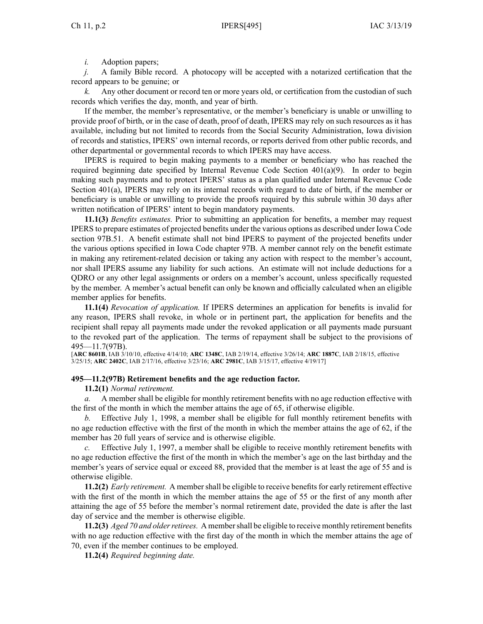*i.* Adoption papers;

*j.* A family Bible record. A photocopy will be accepted with <sup>a</sup> notarized certification that the record appears to be genuine; or

*k.* Any other document or record ten or more years old, or certification from the custodian of such records which verifies the day, month, and year of birth.

If the member, the member's representative, or the member's beneficiary is unable or unwilling to provide proof of birth, or in the case of death, proof of death, IPERS may rely on such resources as it has available, including but not limited to records from the Social Security Administration, Iowa division of records and statistics, IPERS' own internal records, or reports derived from other public records, and other departmental or governmental records to which IPERS may have access.

IPERS is required to begin making payments to <sup>a</sup> member or beneficiary who has reached the required beginning date specified by Internal Revenue Code Section 401(a)(9). In order to begin making such payments and to protect IPERS' status as <sup>a</sup> plan qualified under Internal Revenue Code Section 401(a), IPERS may rely on its internal records with regard to date of birth, if the member or beneficiary is unable or unwilling to provide the proofs required by this subrule within 30 days after written notification of IPERS' intent to begin mandatory payments.

**11.1(3)** *Benefits estimates.* Prior to submitting an application for benefits, <sup>a</sup> member may reques<sup>t</sup> IPERS to prepare estimates of projected benefits under the various options as described under Iowa Code section [97B.51](https://www.legis.iowa.gov/docs/ico/section/97B.51.pdf). A benefit estimate shall not bind IPERS to paymen<sup>t</sup> of the projected benefits under the various options specified in Iowa Code chapter [97B](https://www.legis.iowa.gov/docs/ico/chapter/97B.pdf). Amember cannot rely on the benefit estimate in making any retirement-related decision or taking any action with respec<sup>t</sup> to the member's account, nor shall IPERS assume any liability for such actions. An estimate will not include deductions for <sup>a</sup> QDRO or any other legal assignments or orders on <sup>a</sup> member's account, unless specifically requested by the member. A member's actual benefit can only be known and officially calculated when an eligible member applies for benefits.

**11.1(4)** *Revocation of application.* If IPERS determines an application for benefits is invalid for any reason, IPERS shall revoke, in whole or in pertinent part, the application for benefits and the recipient shall repay all payments made under the revoked application or all payments made pursuan<sup>t</sup> to the revoked par<sup>t</sup> of the application. The terms of repaymen<sup>t</sup> shall be subject to the provisions of [495—11.7](https://www.legis.iowa.gov/docs/iac/rule/495.11.7.pdf)(97B).

[**ARC [8601B](https://www.legis.iowa.gov/docs/aco/arc/8601B.pdf)**, IAB 3/10/10, effective 4/14/10; **ARC [1348C](https://www.legis.iowa.gov/docs/aco/arc/1348C.pdf)**, IAB 2/19/14, effective 3/26/14; **ARC [1887C](https://www.legis.iowa.gov/docs/aco/arc/1887C.pdf)**, IAB 2/18/15, effective 3/25/15; **ARC [2402C](https://www.legis.iowa.gov/docs/aco/arc/2402C.pdf)**, IAB 2/17/16, effective 3/23/16; **ARC [2981C](https://www.legis.iowa.gov/docs/aco/arc/2981C.pdf)**, IAB 3/15/17, effective 4/19/17]

## **495—11.2(97B) Retirement benefits and the age reduction factor.**

**11.2(1)** *Normal retirement.*

*a.* A member shall be eligible for monthly retirement benefits with no age reduction effective with the first of the month in which the member attains the age of 65, if otherwise eligible.

*b.* Effective July 1, 1998, <sup>a</sup> member shall be eligible for full monthly retirement benefits with no age reduction effective with the first of the month in which the member attains the age of 62, if the member has 20 full years of service and is otherwise eligible.

*c.* Effective July 1, 1997, <sup>a</sup> member shall be eligible to receive monthly retirement benefits with no age reduction effective the first of the month in which the member's age on the last birthday and the member's years of service equal or exceed 88, provided that the member is at least the age of 55 and is otherwise eligible.

**11.2(2)** *Early retirement.* A membershall be eligible to receive benefitsfor early retirement effective with the first of the month in which the member attains the age of 55 or the first of any month after attaining the age of 55 before the member's normal retirement date, provided the date is after the last day of service and the member is otherwise eligible.

**11.2(3)** *Aged 70 and olderretirees.* A membershall be eligible to receive monthly retirement benefits with no age reduction effective with the first day of the month in which the member attains the age of 70, even if the member continues to be employed.

**11.2(4)** *Required beginning date.*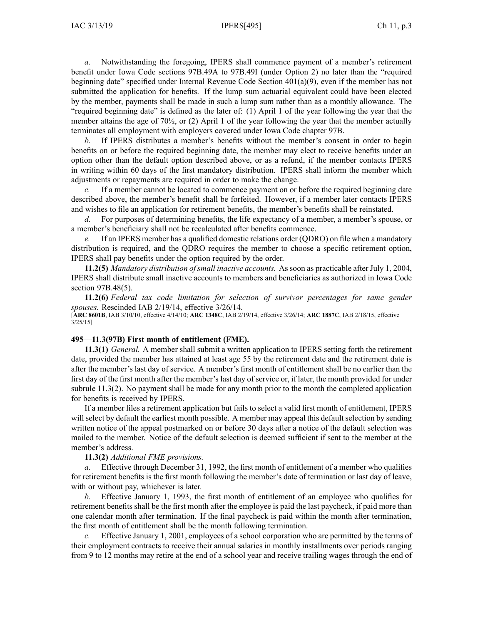*a.* Notwithstanding the foregoing, IPERS shall commence paymen<sup>t</sup> of <sup>a</sup> member's retirement benefit under Iowa Code sections [97B.49A](https://www.legis.iowa.gov/docs/ico/section/2017/97B.49A-49I.pdf) to 97B.49I (under Option 2) no later than the "required beginning date" specified under Internal Revenue Code Section 401(a)(9), even if the member has not submitted the application for benefits. If the lump sum actuarial equivalent could have been elected by the member, payments shall be made in such <sup>a</sup> lump sum rather than as <sup>a</sup> monthly allowance. The "required beginning date" is defined as the later of: (1) April 1 of the year following the year that the member attains the age of 70<sup>1</sup>/<sub>2</sub>, or (2) April 1 of the year following the year that the member actually terminates all employment with employers covered under Iowa Code chapter [97B](https://www.legis.iowa.gov/docs/ico/chapter/2017/97B.pdf).

*b.* If IPERS distributes <sup>a</sup> member's benefits without the member's consent in order to begin benefits on or before the required beginning date, the member may elect to receive benefits under an option other than the default option described above, or as <sup>a</sup> refund, if the member contacts IPERS in writing within 60 days of the first mandatory distribution. IPERS shall inform the member which adjustments or repayments are required in order to make the change.

If a member cannot be located to commence payment on or before the required beginning date described above, the member's benefit shall be forfeited. However, if <sup>a</sup> member later contacts IPERS and wishes to file an application for retirement benefits, the member's benefits shall be reinstated.

*d.* For purposes of determining benefits, the life expectancy of <sup>a</sup> member, <sup>a</sup> member's spouse, or <sup>a</sup> member's beneficiary shall not be recalculated after benefits commence.

*e.* If an IPERS member has <sup>a</sup> qualified domestic relations order (QDRO) on file when <sup>a</sup> mandatory distribution is required, and the QDRO requires the member to choose <sup>a</sup> specific retirement option, IPERS shall pay benefits under the option required by the order.

**11.2(5)** *Mandatory distribution of small inactive accounts.* As soon as practicable after July 1, 2004, IPERS shall distribute small inactive accounts to members and beneficiaries as authorized in Iowa Code section [97B.48\(5\)](https://www.legis.iowa.gov/docs/ico/section/97B.48.pdf).

**11.2(6)** *Federal tax code limitation for selection of survivor percentages for same gender spouses.* Rescinded IAB [2/19/14](https://www.legis.iowa.gov/docs/aco/bulletin/02-19-2014.pdf), effective 3/26/14.

[**ARC [8601B](https://www.legis.iowa.gov/docs/aco/arc/8601B.pdf)**, IAB 3/10/10, effective 4/14/10; **ARC [1348C](https://www.legis.iowa.gov/docs/aco/arc/1348C.pdf)**, IAB 2/19/14, effective 3/26/14; **ARC [1887C](https://www.legis.iowa.gov/docs/aco/arc/1887C.pdf)**, IAB 2/18/15, effective 3/25/15]

#### **495—11.3(97B) First month of entitlement (FME).**

**11.3(1)** *General.* A member shall submit <sup>a</sup> written application to IPERS setting forth the retirement date, provided the member has attained at least age 55 by the retirement date and the retirement date is after the member's last day of service. A member's first month of entitlement shall be no earlier than the first day of the first month after the member's last day of service or, if later, the month provided for under subrule [11.3\(2\)](https://www.legis.iowa.gov/docs/iac/rule/495.11.3.pdf). No paymen<sup>t</sup> shall be made for any month prior to the month the completed application for benefits is received by IPERS.

If <sup>a</sup> member files <sup>a</sup> retirement application but fails to select <sup>a</sup> valid first month of entitlement, IPERS will select by default the earliest month possible. A member may appeal this default selection by sending written notice of the appeal postmarked on or before 30 days after <sup>a</sup> notice of the default selection was mailed to the member. Notice of the default selection is deemed sufficient if sent to the member at the member's address.

### **11.3(2)** *Additional FME provisions.*

*a.* Effective through December 31, 1992, the first month of entitlement of <sup>a</sup> member who qualifies for retirement benefits is the first month following the member's date of termination or last day of leave, with or without pay, whichever is later.

*b.* Effective January 1, 1993, the first month of entitlement of an employee who qualifies for retirement benefits shall be the first month after the employee is paid the last paycheck, if paid more than one calendar month after termination. If the final paycheck is paid within the month after termination, the first month of entitlement shall be the month following termination.

*c.* Effective January 1, 2001, employees of <sup>a</sup> school corporation who are permitted by the terms of their employment contracts to receive their annual salaries in monthly installments over periods ranging from 9 to 12 months may retire at the end of <sup>a</sup> school year and receive trailing wages through the end of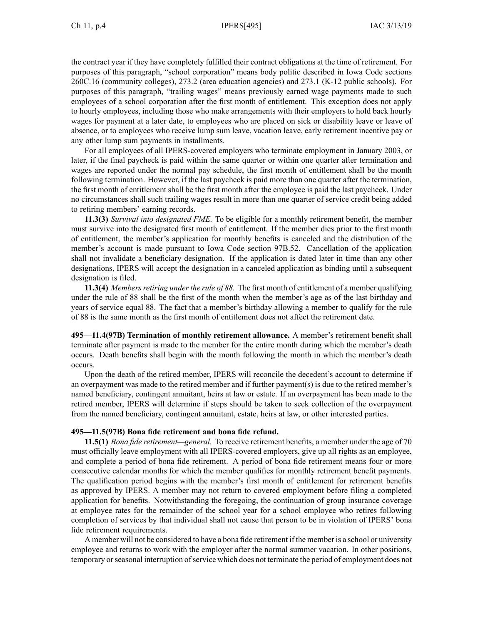the contract year if they have completely fulfilled their contract obligations at the time of retirement. For purposes of this paragraph, "school corporation" means body politic described in Iowa Code sections [260C.16](https://www.legis.iowa.gov/docs/ico/section/260C.16.pdf) (community colleges), [273.2](https://www.legis.iowa.gov/docs/ico/section/273.2.pdf) (area education agencies) and [273.1](https://www.legis.iowa.gov/docs/ico/section/273.1.pdf) (K-12 public schools). For purposes of this paragraph, "trailing wages" means previously earned wage payments made to such employees of <sup>a</sup> school corporation after the first month of entitlement. This exception does not apply to hourly employees, including those who make arrangements with their employers to hold back hourly wages for paymen<sup>t</sup> at <sup>a</sup> later date, to employees who are placed on sick or disability leave or leave of absence, or to employees who receive lump sum leave, vacation leave, early retirement incentive pay or any other lump sum payments in installments.

For all employees of all IPERS-covered employers who terminate employment in January 2003, or later, if the final paycheck is paid within the same quarter or within one quarter after termination and wages are reported under the normal pay schedule, the first month of entitlement shall be the month following termination. However, if the last paycheck is paid more than one quarter after the termination, the first month of entitlement shall be the first month after the employee is paid the last paycheck. Under no circumstances shall such trailing wages result in more than one quarter of service credit being added to retiring members' earning records.

**11.3(3)** *Survival into designated FME.* To be eligible for <sup>a</sup> monthly retirement benefit, the member must survive into the designated first month of entitlement. If the member dies prior to the first month of entitlement, the member's application for monthly benefits is canceled and the distribution of the member's account is made pursuan<sup>t</sup> to Iowa Code section [97B.52](https://www.legis.iowa.gov/docs/ico/section/97B.52.pdf). Cancellation of the application shall not invalidate <sup>a</sup> beneficiary designation. If the application is dated later in time than any other designations, IPERS will accep<sup>t</sup> the designation in <sup>a</sup> canceled application as binding until <sup>a</sup> subsequent designation is filed.

**11.3(4)** *Members retiring under the rule of 88.* The first month of entitlement of a member qualifying under the rule of 88 shall be the first of the month when the member's age as of the last birthday and years of service equal 88. The fact that <sup>a</sup> member's birthday allowing <sup>a</sup> member to qualify for the rule of 88 is the same month as the first month of entitlement does not affect the retirement date.

**495—11.4(97B) Termination of monthly retirement allowance.** A member's retirement benefit shall terminate after paymen<sup>t</sup> is made to the member for the entire month during which the member's death occurs. Death benefits shall begin with the month following the month in which the member's death occurs.

Upon the death of the retired member, IPERS will reconcile the decedent's account to determine if an overpaymen<sup>t</sup> was made to the retired member and if further payment(s) is due to the retired member's named beneficiary, contingent annuitant, heirs at law or estate. If an overpaymen<sup>t</sup> has been made to the retired member, IPERS will determine if steps should be taken to seek collection of the overpaymen<sup>t</sup> from the named beneficiary, contingent annuitant, estate, heirs at law, or other interested parties.

### **495—11.5(97B) Bona fide retirement and bona fide refund.**

**11.5(1)** *Bona fide retirement—general.* To receive retirement benefits, <sup>a</sup> member under the age of 70 must officially leave employment with all IPERS-covered employers, give up all rights as an employee, and complete <sup>a</sup> period of bona fide retirement. A period of bona fide retirement means four or more consecutive calendar months for which the member qualifies for monthly retirement benefit payments. The qualification period begins with the member's first month of entitlement for retirement benefits as approved by IPERS. A member may not return to covered employment before filing <sup>a</sup> completed application for benefits. Notwithstanding the foregoing, the continuation of group insurance coverage at employee rates for the remainder of the school year for <sup>a</sup> school employee who retires following completion of services by that individual shall not cause that person to be in violation of IPERS' bona fide retirement requirements.

A member will not be considered to have <sup>a</sup> bona fide retirement if the member is <sup>a</sup> school or university employee and returns to work with the employer after the normal summer vacation. In other positions, temporary orseasonal interruption ofservice which does not terminate the period of employment does not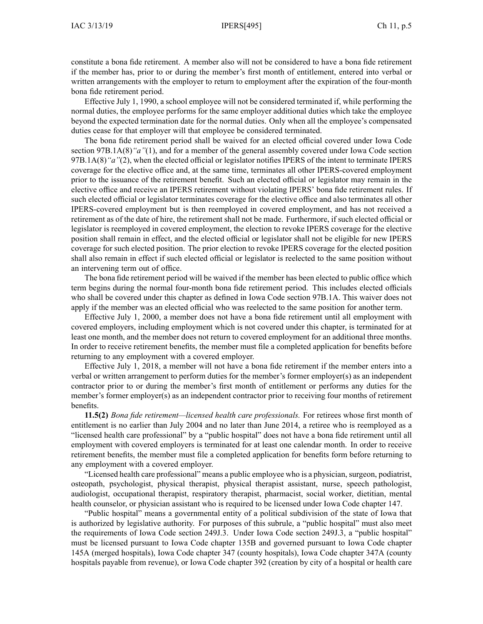constitute <sup>a</sup> bona fide retirement. A member also will not be considered to have <sup>a</sup> bona fide retirement if the member has, prior to or during the member's first month of entitlement, entered into verbal or written arrangements with the employer to return to employment after the expiration of the four-month bona fide retirement period.

Effective July 1, 1990, <sup>a</sup> school employee will not be considered terminated if, while performing the normal duties, the employee performs for the same employer additional duties which take the employee beyond the expected termination date for the normal duties. Only when all the employee's compensated duties cease for that employer will that employee be considered terminated.

The bona fide retirement period shall be waived for an elected official covered under Iowa Code section [97B.1A\(8\)](https://www.legis.iowa.gov/docs/ico/section/2017/97B.1A.pdf)*"a"*(1), and for <sup>a</sup> member of the general assembly covered under Iowa Code section [97B.1A\(8\)](https://www.legis.iowa.gov/docs/ico/section/2017/97B.1A.pdf)*"a"*(2), when the elected official or legislator notifies IPERS of the intent to terminate IPERS coverage for the elective office and, at the same time, terminates all other IPERS-covered employment prior to the issuance of the retirement benefit. Such an elected official or legislator may remain in the elective office and receive an IPERS retirement without violating IPERS' bona fide retirement rules. If such elected official or legislator terminates coverage for the elective office and also terminates all other IPERS-covered employment but is then reemployed in covered employment, and has not received <sup>a</sup> retirement as of the date of hire, the retirement shall not be made. Furthermore, if such elected official or legislator is reemployed in covered employment, the election to revoke IPERS coverage for the elective position shall remain in effect, and the elected official or legislator shall not be eligible for new IPERS coverage for such elected position. The prior election to revoke IPERS coverage for the elected position shall also remain in effect if such elected official or legislator is reelected to the same position without an intervening term out of office.

The bona fide retirement period will be waived if the member has been elected to public office which term begins during the normal four-month bona fide retirement period. This includes elected officials who shall be covered under this chapter as defined in Iowa Code section [97B.1A](https://www.legis.iowa.gov/docs/ico/section/2018/97B.1A.pdf). This waiver does not apply if the member was an elected official who was reelected to the same position for another term.

Effective July 1, 2000, <sup>a</sup> member does not have <sup>a</sup> bona fide retirement until all employment with covered employers, including employment which is not covered under this chapter, is terminated for at least one month, and the member does not return to covered employment for an additional three months. In order to receive retirement benefits, the member must file <sup>a</sup> completed application for benefits before returning to any employment with <sup>a</sup> covered employer.

Effective July 1, 2018, <sup>a</sup> member will not have <sup>a</sup> bona fide retirement if the member enters into <sup>a</sup> verbal or written arrangemen<sup>t</sup> to perform duties for the member's former employer(s) as an independent contractor prior to or during the member's first month of entitlement or performs any duties for the member's former employer(s) as an independent contractor prior to receiving four months of retirement benefits.

**11.5(2)** *Bona fide retirement—licensed health care professionals.* For retirees whose first month of entitlement is no earlier than July 2004 and no later than June 2014, <sup>a</sup> retiree who is reemployed as <sup>a</sup> "licensed health care professional" by <sup>a</sup> "public hospital" does not have <sup>a</sup> bona fide retirement until all employment with covered employers is terminated for at least one calendar month. In order to receive retirement benefits, the member must file <sup>a</sup> completed application for benefits form before returning to any employment with <sup>a</sup> covered employer.

"Licensed health care professional" means <sup>a</sup> public employee who is <sup>a</sup> physician, surgeon, podiatrist, osteopath, psychologist, physical therapist, physical therapist assistant, nurse, speech pathologist, audiologist, occupational therapist, respiratory therapist, pharmacist, social worker, dietitian, mental health counselor, or physician assistant who is required to be licensed under Iowa Code chapter [147](https://www.legis.iowa.gov/docs/ico/chapter/147.pdf).

"Public hospital" means <sup>a</sup> governmental entity of <sup>a</sup> political subdivision of the state of Iowa that is authorized by legislative authority. For purposes of this subrule, <sup>a</sup> "public hospital" must also meet the requirements of Iowa Code section 249J.3. Under Iowa Code section 249J.3, <sup>a</sup> "public hospital" must be licensed pursuan<sup>t</sup> to Iowa Code chapter [135B](https://www.legis.iowa.gov/docs/ico/chapter/135B.pdf) and governed pursuan<sup>t</sup> to Iowa Code chapter [145A](https://www.legis.iowa.gov/docs/ico/chapter/145A.pdf) (merged hospitals), Iowa Code chapter [347](https://www.legis.iowa.gov/docs/ico/chapter/347.pdf) (county hospitals), Iowa Code chapter [347A](https://www.legis.iowa.gov/docs/ico/chapter/347A.pdf) (county hospitals payable from revenue), or Iowa Code chapter [392](https://www.legis.iowa.gov/docs/ico/chapter/392.pdf) (creation by city of <sup>a</sup> hospital or health care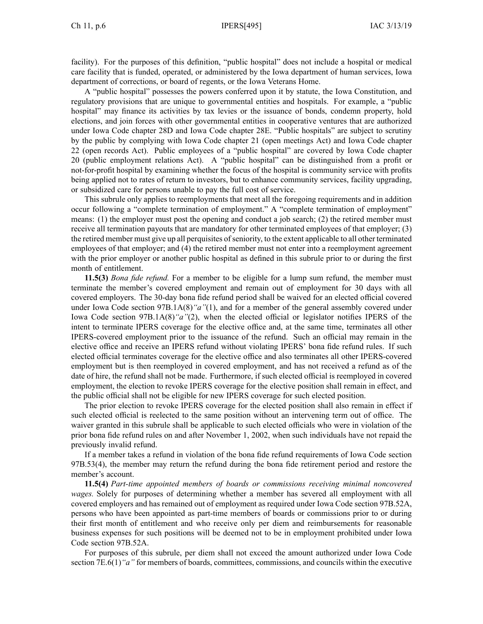facility). For the purposes of this definition, "public hospital" does not include <sup>a</sup> hospital or medical care facility that is funded, operated, or administered by the Iowa department of human services, Iowa department of corrections, or board of regents, or the Iowa Veterans Home.

A "public hospital" possesses the powers conferred upon it by statute, the Iowa Constitution, and regulatory provisions that are unique to governmental entities and hospitals. For example, <sup>a</sup> "public hospital" may finance its activities by tax levies or the issuance of bonds, condemn property, hold elections, and join forces with other governmental entities in cooperative ventures that are authorized under Iowa Code chapter [28D](https://www.legis.iowa.gov/docs/ico/chapter/28D.pdf) and Iowa Code chapter [28E](https://www.legis.iowa.gov/docs/ico/chapter/28E.pdf). "Public hospitals" are subject to scrutiny by the public by complying with Iowa Code chapter [21](https://www.legis.iowa.gov/docs/ico/chapter/21.pdf) (open meetings Act) and Iowa Code chapter [22](https://www.legis.iowa.gov/docs/ico/chapter/22.pdf) (open records Act). Public employees of <sup>a</sup> "public hospital" are covered by Iowa Code chapter [20](https://www.legis.iowa.gov/docs/ico/chapter/20.pdf) (public employment relations Act). A "public hospital" can be distinguished from <sup>a</sup> profit or not-for-profit hospital by examining whether the focus of the hospital is community service with profits being applied not to rates of return to investors, but to enhance community services, facility upgrading, or subsidized care for persons unable to pay the full cost of service.

This subrule only applies to reemployments that meet all the foregoing requirements and in addition occur following <sup>a</sup> "complete termination of employment." A "complete termination of employment" means: (1) the employer must pos<sup>t</sup> the opening and conduct <sup>a</sup> job search; (2) the retired member must receive all termination payouts that are mandatory for other terminated employees of that employer; (3) the retired member must give up all perquisites ofseniority, to the extent applicable to all other terminated employees of that employer; and (4) the retired member must not enter into <sup>a</sup> reemployment agreemen<sup>t</sup> with the prior employer or another public hospital as defined in this subrule prior to or during the first month of entitlement.

**11.5(3)** *Bona fide refund.* For <sup>a</sup> member to be eligible for <sup>a</sup> lump sum refund, the member must terminate the member's covered employment and remain out of employment for 30 days with all covered employers. The 30-day bona fide refund period shall be waived for an elected official covered under Iowa Code section [97B.1A\(8\)](https://www.legis.iowa.gov/docs/ico/section/97B.1A.pdf)*"a"*(1), and for <sup>a</sup> member of the general assembly covered under Iowa Code section [97B.1A\(8\)](https://www.legis.iowa.gov/docs/ico/section/97B.1A.pdf)*"a"*(2), when the elected official or legislator notifies IPERS of the intent to terminate IPERS coverage for the elective office and, at the same time, terminates all other IPERS-covered employment prior to the issuance of the refund. Such an official may remain in the elective office and receive an IPERS refund without violating IPERS' bona fide refund rules. If such elected official terminates coverage for the elective office and also terminates all other IPERS-covered employment but is then reemployed in covered employment, and has not received <sup>a</sup> refund as of the date of hire, the refund shall not be made. Furthermore, if such elected official is reemployed in covered employment, the election to revoke IPERS coverage for the elective position shall remain in effect, and the public official shall not be eligible for new IPERS coverage for such elected position.

The prior election to revoke IPERS coverage for the elected position shall also remain in effect if such elected official is reelected to the same position without an intervening term out of office. The waiver granted in this subrule shall be applicable to such elected officials who were in violation of the prior bona fide refund rules on and after November 1, 2002, when such individuals have not repaid the previously invalid refund.

If <sup>a</sup> member takes <sup>a</sup> refund in violation of the bona fide refund requirements of Iowa Code section [97B.53\(4\)](https://www.legis.iowa.gov/docs/ico/section/97B.53.pdf), the member may return the refund during the bona fide retirement period and restore the member's account.

**11.5(4)** *Part-time appointed members of boards or commissions receiving minimal noncovered wages.* Solely for purposes of determining whether <sup>a</sup> member has severed all employment with all covered employers and has remained out of employment as required under Iowa Code section [97B.52A](https://www.legis.iowa.gov/docs/ico/section/97B.52A.pdf), persons who have been appointed as part-time members of boards or commissions prior to or during their first month of entitlement and who receive only per diem and reimbursements for reasonable business expenses for such positions will be deemed not to be in employment prohibited under Iowa Code section [97B.52A](https://www.legis.iowa.gov/docs/ico/section/97B.52A.pdf).

For purposes of this subrule, per diem shall not exceed the amount authorized under Iowa Code section [7E.6\(1\)](https://www.legis.iowa.gov/docs/ico/section/7E.6.pdf)<sup>*"a"*</sup> for members of boards, committees, commissions, and councils within the executive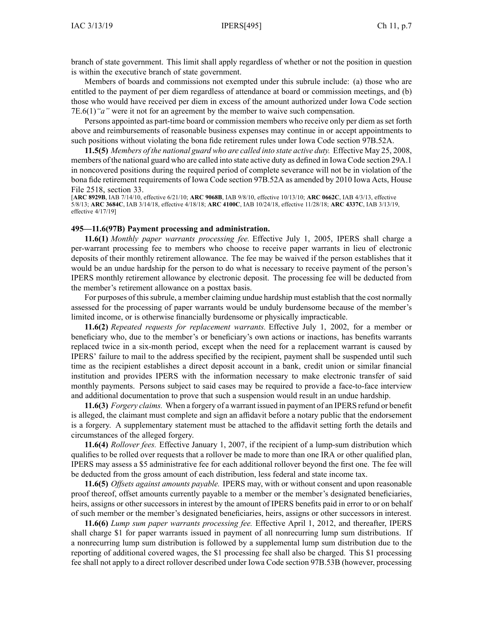branch of state government. This limit shall apply regardless of whether or not the position in question is within the executive branch of state government.

Members of boards and commissions not exempted under this subrule include: (a) those who are entitled to the paymen<sup>t</sup> of per diem regardless of attendance at board or commission meetings, and (b) those who would have received per diem in excess of the amount authorized under Iowa Code section [7E.6\(1\)](https://www.legis.iowa.gov/docs/ico/section/7E.6.pdf)*"a"* were it not for an agreemen<sup>t</sup> by the member to waive such compensation.

Persons appointed as part-time board or commission members who receive only per diem as set forth above and reimbursements of reasonable business expenses may continue in or accep<sup>t</sup> appointments to such positions without violating the bona fide retirement rules under Iowa Code section [97B.52A](https://www.legis.iowa.gov/docs/ico/section/97B.52A.pdf).

**11.5(5)** *Members of the national guard who are called into state active duty.* Effective May 25, 2008, members of the national guard who are called into state active duty as defined in Iowa Code section [29A.1](https://www.legis.iowa.gov/docs/ico/section/29A.1.pdf) in noncovered positions during the required period of complete severance will not be in violation of the bona fide retirement requirements of Iowa Code section [97B.52A](https://www.legis.iowa.gov/docs/ico/section/97B.52A.pdf) as amended by 2010 Iowa Acts, House File 2518, section 33.

[**ARC [8929B](https://www.legis.iowa.gov/docs/aco/arc/8929B.pdf)**, IAB 7/14/10, effective 6/21/10; **ARC [9068B](https://www.legis.iowa.gov/docs/aco/arc/9068B.pdf)**, IAB 9/8/10, effective 10/13/10; **ARC [0662C](https://www.legis.iowa.gov/docs/aco/arc/0662C.pdf)**, IAB 4/3/13, effective 5/8/13; **ARC [3684C](https://www.legis.iowa.gov/docs/aco/arc/3684C.pdf)**, IAB 3/14/18, effective 4/18/18; **ARC [4100C](https://www.legis.iowa.gov/docs/aco/arc/4100C.pdf)**, IAB 10/24/18, effective 11/28/18; **ARC [4337C](https://www.legis.iowa.gov/docs/aco/arc/4337C.pdf)**, IAB 3/13/19, effective 4/17/19]

#### **495—11.6(97B) Payment processing and administration.**

**11.6(1)** *Monthly paper warrants processing fee.* Effective July 1, 2005, IPERS shall charge <sup>a</sup> per-warran<sup>t</sup> processing fee to members who choose to receive paper warrants in lieu of electronic deposits of their monthly retirement allowance. The fee may be waived if the person establishes that it would be an undue hardship for the person to do what is necessary to receive paymen<sup>t</sup> of the person's IPERS monthly retirement allowance by electronic deposit. The processing fee will be deducted from the member's retirement allowance on <sup>a</sup> posttax basis.

For purposes of this subrule, a member claiming undue hardship must establish that the cost normally assessed for the processing of paper warrants would be unduly burdensome because of the member's limited income, or is otherwise financially burdensome or physically impracticable.

**11.6(2)** *Repeated requests for replacement warrants.* Effective July 1, 2002, for <sup>a</sup> member or beneficiary who, due to the member's or beneficiary's own actions or inactions, has benefits warrants replaced twice in <sup>a</sup> six-month period, excep<sup>t</sup> when the need for <sup>a</sup> replacement warrant is caused by IPERS' failure to mail to the address specified by the recipient, paymen<sup>t</sup> shall be suspended until such time as the recipient establishes <sup>a</sup> direct deposit account in <sup>a</sup> bank, credit union or similar financial institution and provides IPERS with the information necessary to make electronic transfer of said monthly payments. Persons subject to said cases may be required to provide <sup>a</sup> face-to-face interview and additional documentation to prove that such <sup>a</sup> suspension would result in an undue hardship.

**11.6(3)** *Forgery claims.* When <sup>a</sup> forgery of <sup>a</sup> warrant issued in paymen<sup>t</sup> of an IPERS refund or benefit is alleged, the claimant must complete and sign an affidavit before <sup>a</sup> notary public that the endorsement is <sup>a</sup> forgery. A supplementary statement must be attached to the affidavit setting forth the details and circumstances of the alleged forgery.

**11.6(4)** *Rollover fees.* Effective January 1, 2007, if the recipient of <sup>a</sup> lump-sum distribution which qualifies to be rolled over requests that <sup>a</sup> rollover be made to more than one IRA or other qualified plan, IPERS may assess <sup>a</sup> \$5 administrative fee for each additional rollover beyond the first one. The fee will be deducted from the gross amount of each distribution, less federal and state income tax.

**11.6(5)** *Offsets against amounts payable.* IPERS may, with or without consent and upon reasonable proof thereof, offset amounts currently payable to <sup>a</sup> member or the member's designated beneficiaries, heirs, assigns or other successors in interest by the amount of IPERS benefits paid in error to or on behalf of such member or the member's designated beneficiaries, heirs, assigns or other successors in interest.

**11.6(6)** *Lump sum paper warrants processing fee.* Effective April 1, 2012, and thereafter, IPERS shall charge \$1 for paper warrants issued in paymen<sup>t</sup> of all nonrecurring lump sum distributions. If <sup>a</sup> nonrecurring lump sum distribution is followed by <sup>a</sup> supplemental lump sum distribution due to the reporting of additional covered wages, the \$1 processing fee shall also be charged. This \$1 processing fee shall not apply to <sup>a</sup> direct rollover described under Iowa Code section [97B.53B](https://www.legis.iowa.gov/docs/ico/section/2017/97B.53B.pdf) (however, processing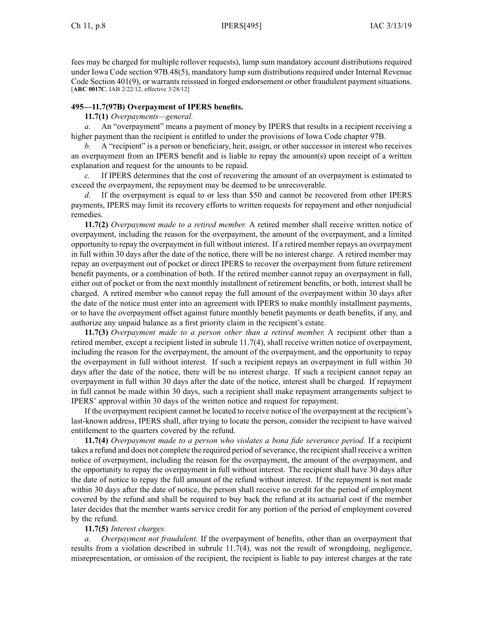fees may be charged for multiple rollover requests), lump sum mandatory account distributions required under Iowa Code section [97B.48\(5\)](https://www.legis.iowa.gov/docs/ico/section/2017/97B.48.pdf), mandatory lump sum distributions required under Internal Revenue Code Section 401(9), or warrants reissued in forged endorsement or other fraudulent paymen<sup>t</sup> situations. [**ARC [0017C](https://www.legis.iowa.gov/docs/aco/arc/0017C.pdf)**, IAB 2/22/12, effective 3/28/12]

## **495—11.7(97B) Overpayment of IPERS benefits.**

## **11.7(1)** *Overpayments—general.*

*a.* An "overpayment" means <sup>a</sup> paymen<sup>t</sup> of money by IPERS that results in <sup>a</sup> recipient receiving <sup>a</sup> higher paymen<sup>t</sup> than the recipient is entitled to under the provisions of Iowa Code chapter [97B](https://www.legis.iowa.gov/docs/ico/chapter/97B.pdf).

*b.* A "recipient" is <sup>a</sup> person or beneficiary, heir, assign, or other successor in interest who receives an overpaymen<sup>t</sup> from an IPERS benefit and is liable to repay the amount(s) upon receipt of <sup>a</sup> written explanation and reques<sup>t</sup> for the amounts to be repaid.

*c.* If IPERS determines that the cost of recovering the amount of an overpaymen<sup>t</sup> is estimated to exceed the overpayment, the repaymen<sup>t</sup> may be deemed to be unrecoverable.

*d.* If the overpaymen<sup>t</sup> is equal to or less than \$50 and cannot be recovered from other IPERS payments, IPERS may limit its recovery efforts to written requests for repaymen<sup>t</sup> and other nonjudicial remedies.

**11.7(2)** *Overpayment made to <sup>a</sup> retired member.* A retired member shall receive written notice of overpayment, including the reason for the overpayment, the amount of the overpayment, and <sup>a</sup> limited opportunity to repay the overpaymen<sup>t</sup> in full without interest. If <sup>a</sup> retired member repays an overpaymen<sup>t</sup> in full within 30 days after the date of the notice, there will be no interest charge. A retired member may repay an overpaymen<sup>t</sup> out of pocket or direct IPERS to recover the overpaymen<sup>t</sup> from future retirement benefit payments, or <sup>a</sup> combination of both. If the retired member cannot repay an overpaymen<sup>t</sup> in full, either out of pocket or from the next monthly installment of retirement benefits, or both, interest shall be charged. A retired member who cannot repay the full amount of the overpaymen<sup>t</sup> within 30 days after the date of the notice must enter into an agreemen<sup>t</sup> with IPERS to make monthly installment payments, or to have the overpaymen<sup>t</sup> offset against future monthly benefit payments or death benefits, if any, and authorize any unpaid balance as <sup>a</sup> first priority claim in the recipient's estate.

**11.7(3)** *Overpayment made to <sup>a</sup> person other than <sup>a</sup> retired member.* A recipient other than <sup>a</sup> retired member, excep<sup>t</sup> <sup>a</sup> recipient listed in subrule [11.7\(4\)](https://www.legis.iowa.gov/docs/iac/rule/495.11.7.pdf), shall receive written notice of overpayment, including the reason for the overpayment, the amount of the overpayment, and the opportunity to repay the overpaymen<sup>t</sup> in full without interest. If such <sup>a</sup> recipient repays an overpaymen<sup>t</sup> in full within 30 days after the date of the notice, there will be no interest charge. If such <sup>a</sup> recipient cannot repay an overpaymen<sup>t</sup> in full within 30 days after the date of the notice, interest shall be charged. If repaymen<sup>t</sup> in full cannot be made within 30 days, such <sup>a</sup> recipient shall make repaymen<sup>t</sup> arrangements subject to IPERS' approval within 30 days of the written notice and reques<sup>t</sup> for repayment.

If the overpaymen<sup>t</sup> recipient cannot be located to receive notice of the overpaymen<sup>t</sup> at the recipient's last-known address, IPERS shall, after trying to locate the person, consider the recipient to have waived entitlement to the quarters covered by the refund.

**11.7(4)** *Overpayment made to <sup>a</sup> person who violates <sup>a</sup> bona fide severance period.* If <sup>a</sup> recipient takes a refund and does not complete the required period of severance, the recipient shall receive a written notice of overpayment, including the reason for the overpayment, the amount of the overpayment, and the opportunity to repay the overpaymen<sup>t</sup> in full without interest. The recipient shall have 30 days after the date of notice to repay the full amount of the refund without interest. If the repaymen<sup>t</sup> is not made within 30 days after the date of notice, the person shall receive no credit for the period of employment covered by the refund and shall be required to buy back the refund at its actuarial cost if the member later decides that the member wants service credit for any portion of the period of employment covered by the refund.

## **11.7(5)** *Interest charges.*

*a. Overpayment not fraudulent.* If the overpaymen<sup>t</sup> of benefits, other than an overpaymen<sup>t</sup> that results from <sup>a</sup> violation described in subrule [11.7\(4\)](https://www.legis.iowa.gov/docs/iac/rule/495.11.7.pdf), was not the result of wrongdoing, negligence, misrepresentation, or omission of the recipient, the recipient is liable to pay interest charges at the rate